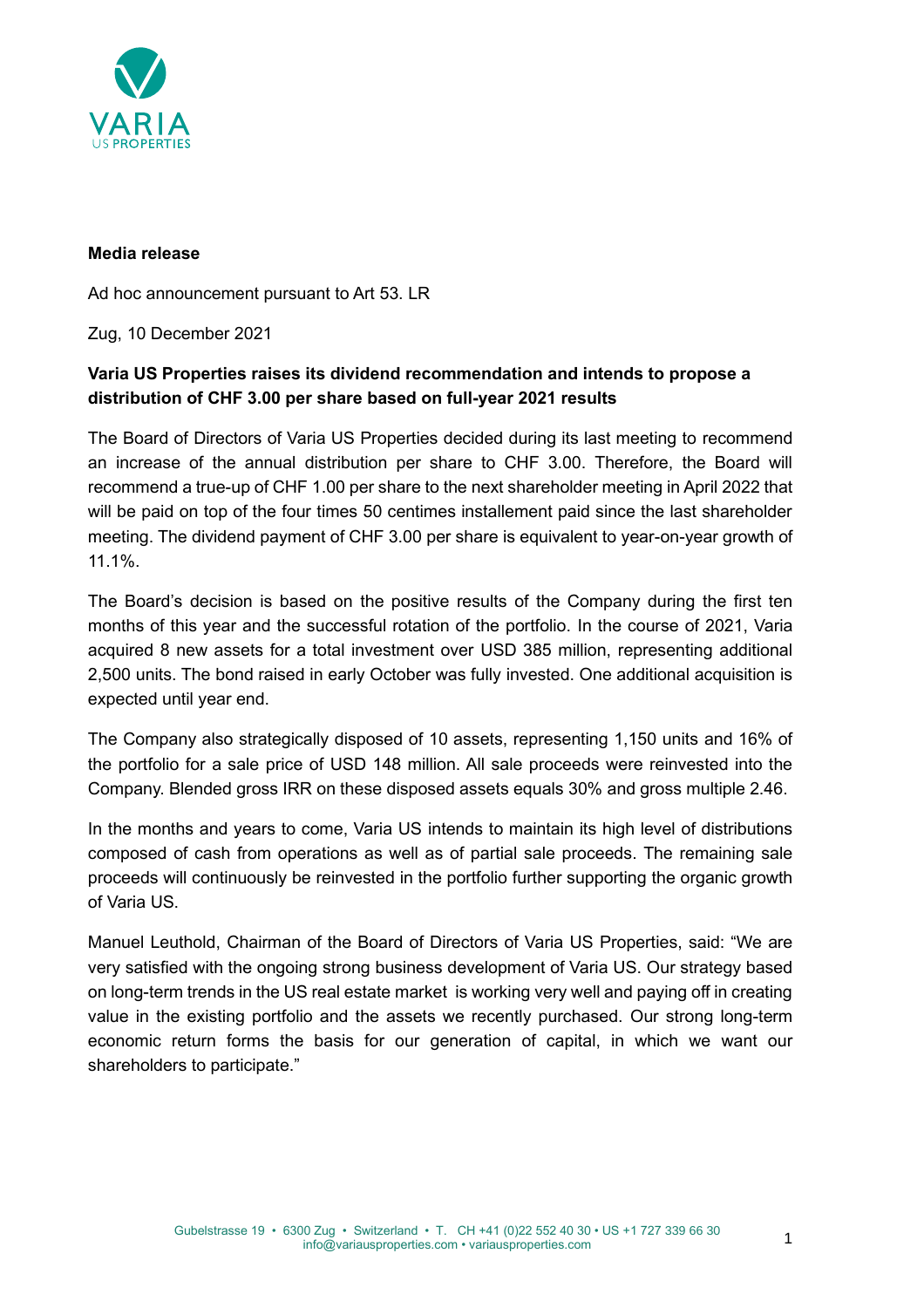

### **Media release**

Ad hoc announcement pursuant to Art 53. LR

Zug, 10 December 2021

# **Varia US Properties raises its dividend recommendation and intends to propose a distribution of CHF 3.00 per share based on full-year 2021 results**

The Board of Directors of Varia US Properties decided during its last meeting to recommend an increase of the annual distribution per share to CHF 3.00. Therefore, the Board will recommend a true-up of CHF 1.00 per share to the next shareholder meeting in April 2022 that will be paid on top of the four times 50 centimes installement paid since the last shareholder meeting. The dividend payment of CHF 3.00 per share is equivalent to year-on-year growth of 11.1%.

The Board's decision is based on the positive results of the Company during the first ten months of this year and the successful rotation of the portfolio. In the course of 2021, Varia acquired 8 new assets for a total investment over USD 385 million, representing additional 2,500 units. The bond raised in early October was fully invested. One additional acquisition is expected until year end.

The Company also strategically disposed of 10 assets, representing 1,150 units and 16% of the portfolio for a sale price of USD 148 million. All sale proceeds were reinvested into the Company. Blended gross IRR on these disposed assets equals 30% and gross multiple 2.46.

In the months and years to come, Varia US intends to maintain its high level of distributions composed of cash from operations as well as of partial sale proceeds. The remaining sale proceeds will continuously be reinvested in the portfolio further supporting the organic growth of Varia US.

Manuel Leuthold, Chairman of the Board of Directors of Varia US Properties, said: "We are very satisfied with the ongoing strong business development of Varia US. Our strategy based on long-term trends in the US real estate market is working very well and paying off in creating value in the existing portfolio and the assets we recently purchased. Our strong long-term economic return forms the basis for our generation of capital, in which we want our shareholders to participate."